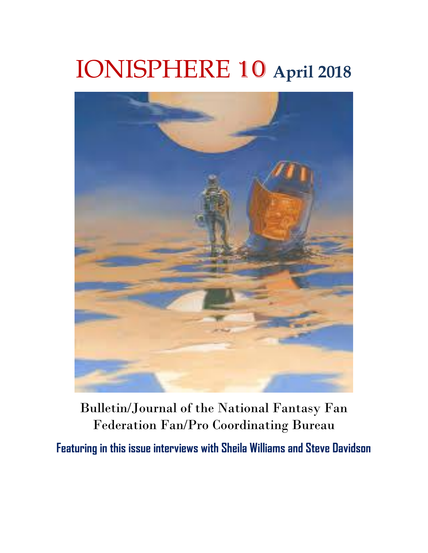# IONISPHERE 10 **April 2018**



## Bulletin/Journal of the National Fantasy Fan Federation Fan/Pro Coordinating Bureau **Featuring in this issue interviews with Sheila Williams and Steve Davidson**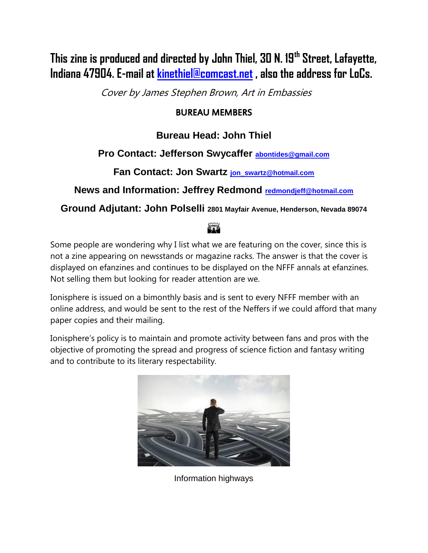**This zine is produced and directed by John Thiel, 30 N. 19th Street, Lafayette, Indiana 47904. E-mail at [kinethiel@comcast.net](mailto:kinethiel@comcast.net) , also the address for LoCs.**

Cover by James Stephen Brown, Art in Embassies

### BUREAU MEMBERS

## **Bureau Head: John Thiel**

## **Pro Contact: Jefferson Swycaffer [abontides@gmail.com](mailto:abontides@gmail.com)**

### **Fan Contact: Jon Swartz [jon\\_swartz@hotmail.com](mailto:jon_swartz@hotmail.com)**

## **News and Information: Jeffrey Redmond [redmondjeff@hotmail.com](mailto:redmondjeff@hotmail.com)**

### **Ground Adjutant: John Polselli 2801 Mayfair Avenue, Henderson, Nevada 89074**

## 簈

Some people are wondering why I list what we are featuring on the cover, since this is not a zine appearing on newsstands or magazine racks. The answer is that the cover is displayed on efanzines and continues to be displayed on the NFFF annals at efanzines. Not selling them but looking for reader attention are we.

Ionisphere is issued on a bimonthly basis and is sent to every NFFF member with an online address, and would be sent to the rest of the Neffers if we could afford that many paper copies and their mailing.

Ionisphere's policy is to maintain and promote activity between fans and pros with the objective of promoting the spread and progress of science fiction and fantasy writing and to contribute to its literary respectability.



Information highways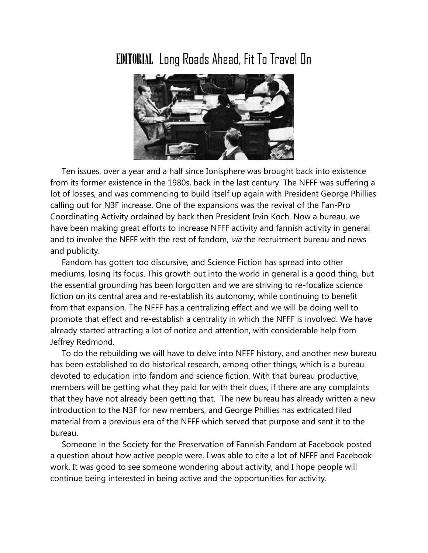EDITORIAL Long Roads Ahead, Fit To Travel On



 Ten issues, over a year and a half since Ionisphere was brought back into existence from its former existence in the 1980s, back in the last century. The NFFF was suffering a lot of losses, and was commencing to build itself up again with President George Phillies calling out for N3F increase. One of the expansions was the revival of the Fan-Pro Coordinating Activity ordained by back then President Irvin Koch. Now a bureau, we have been making great efforts to increase NFFF activity and fannish activity in general and to involve the NFFF with the rest of fandom, *via* the recruitment bureau and news and publicity.

 Fandom has gotten too discursive, and Science Fiction has spread into other mediums, losing its focus. This growth out into the world in general is a good thing, but the essential grounding has been forgotten and we are striving to re-focalize science fiction on its central area and re-establish its autonomy, while continuing to benefit from that expansion. The NFFF has a centralizing effect and we will be doing well to promote that effect and re-establish a centrality in which the NFFF is involved. We have already started attracting a lot of notice and attention, with considerable help from Jeffrey Redmond.

 To do the rebuilding we will have to delve into NFFF history, and another new bureau has been established to do historical research, among other things, which is a bureau devoted to education into fandom and science fiction. With that bureau productive, members will be getting what they paid for with their dues, if there are any complaints that they have not already been getting that. The new bureau has already written a new introduction to the N3F for new members, and George Phillies has extricated filed material from a previous era of the NFFF which served that purpose and sent it to the bureau.

 Someone in the Society for the Preservation of Fannish Fandom at Facebook posted a question about how active people were. I was able to cite a lot of NFFF and Facebook work. It was good to see someone wondering about activity, and I hope people will continue being interested in being active and the opportunities for activity.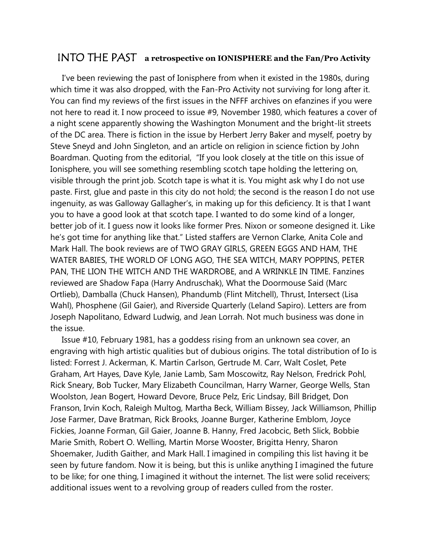## INTO THE PAST **a retrospective on IONISPHERE and the Fan/Pro Activity**

I've been reviewing the past of Ionisphere from when it existed in the 1980s, during which time it was also dropped, with the Fan-Pro Activity not surviving for long after it. You can find my reviews of the first issues in the NFFF archives on efanzines if you were not here to read it. I now proceed to issue #9, November 1980, which features a cover of a night scene apparently showing the Washington Monument and the bright-lit streets of the DC area. There is fiction in the issue by Herbert Jerry Baker and myself, poetry by Steve Sneyd and John Singleton, and an article on religion in science fiction by John Boardman. Quoting from the editorial, "If you look closely at the title on this issue of Ionisphere, you will see something resembling scotch tape holding the lettering on, visible through the print job. Scotch tape is what it is. You might ask why I do not use paste. First, glue and paste in this city do not hold; the second is the reason I do not use ingenuity, as was Galloway Gallagher's, in making up for this deficiency. It is that I want you to have a good look at that scotch tape. I wanted to do some kind of a longer, better job of it. I guess now it looks like former Pres. Nixon or someone designed it. Like he's got time for anything like that." Listed staffers are Vernon Clarke, Anita Cole and Mark Hall. The book reviews are of TWO GRAY GIRLS, GREEN EGGS AND HAM, THE WATER BABIES, THE WORLD OF LONG AGO, THE SEA WITCH, MARY POPPINS, PETER PAN, THE LION THE WITCH AND THE WARDROBE, and A WRINKLE IN TIME. Fanzines reviewed are Shadow Fapa (Harry Andruschak), What the Doormouse Said (Marc Ortlieb), Damballa (Chuck Hansen), Phandumb (Flint Mitchell), Thrust, Intersect (Lisa Wahl), Phosphene (Gil Gaier), and Riverside Quarterly (Leland Sapiro). Letters are from Joseph Napolitano, Edward Ludwig, and Jean Lorrah. Not much business was done in the issue.

 Issue #10, February 1981, has a goddess rising from an unknown sea cover, an engraving with high artistic qualities but of dubious origins. The total distribution of Io is listed: Forrest J. Ackerman, K. Martin Carlson, Gertrude M. Carr, Walt Coslet, Pete Graham, Art Hayes, Dave Kyle, Janie Lamb, Sam Moscowitz, Ray Nelson, Fredrick Pohl, Rick Sneary, Bob Tucker, Mary Elizabeth Councilman, Harry Warner, George Wells, Stan Woolston, Jean Bogert, Howard Devore, Bruce Pelz, Eric Lindsay, Bill Bridget, Don Franson, Irvin Koch, Raleigh Multog, Martha Beck, William Bissey, Jack Williamson, Phillip Jose Farmer, Dave Bratman, Rick Brooks, Joanne Burger, Katherine Emblom, Joyce Fickies, Joanne Forman, Gil Gaier, Joanne B. Hanny, Fred Jacobcic, Beth Slick, Bobbie Marie Smith, Robert O. Welling, Martin Morse Wooster, Brigitta Henry, Sharon Shoemaker, Judith Gaither, and Mark Hall. I imagined in compiling this list having it be seen by future fandom. Now it is being, but this is unlike anything I imagined the future to be like; for one thing, I imagined it without the internet. The list were solid receivers; additional issues went to a revolving group of readers culled from the roster.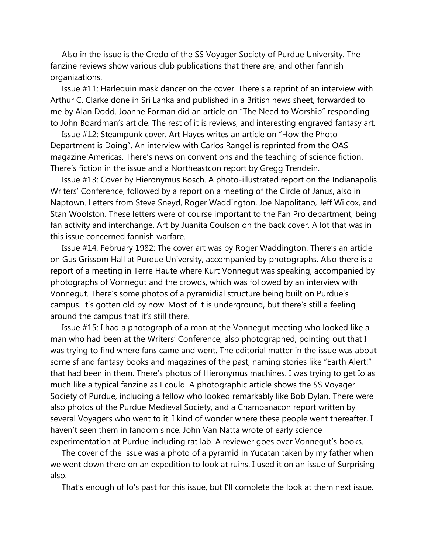Also in the issue is the Credo of the SS Voyager Society of Purdue University. The fanzine reviews show various club publications that there are, and other fannish organizations.

 Issue #11: Harlequin mask dancer on the cover. There's a reprint of an interview with Arthur C. Clarke done in Sri Lanka and published in a British news sheet, forwarded to me by Alan Dodd. Joanne Forman did an article on "The Need to Worship" responding to John Boardman's article. The rest of it is reviews, and interesting engraved fantasy art.

 Issue #12: Steampunk cover. Art Hayes writes an article on "How the Photo Department is Doing". An interview with Carlos Rangel is reprinted from the OAS magazine Americas. There's news on conventions and the teaching of science fiction. There's fiction in the issue and a Northeastcon report by Gregg Trendein.

 Issue #13: Cover by Hieronymus Bosch. A photo-illustrated report on the Indianapolis Writers' Conference, followed by a report on a meeting of the Circle of Janus, also in Naptown. Letters from Steve Sneyd, Roger Waddington, Joe Napolitano, Jeff Wilcox, and Stan Woolston. These letters were of course important to the Fan Pro department, being fan activity and interchange. Art by Juanita Coulson on the back cover. A lot that was in this issue concerned fannish warfare.

 Issue #14, February 1982: The cover art was by Roger Waddington. There's an article on Gus Grissom Hall at Purdue University, accompanied by photographs. Also there is a report of a meeting in Terre Haute where Kurt Vonnegut was speaking, accompanied by photographs of Vonnegut and the crowds, which was followed by an interview with Vonnegut. There's some photos of a pyramidial structure being built on Purdue's campus. It's gotten old by now. Most of it is underground, but there's still a feeling around the campus that it's still there.

 Issue #15: I had a photograph of a man at the Vonnegut meeting who looked like a man who had been at the Writers' Conference, also photographed, pointing out that I was trying to find where fans came and went. The editorial matter in the issue was about some sf and fantasy books and magazines of the past, naming stories like "Earth Alert!" that had been in them. There's photos of Hieronymus machines. I was trying to get Io as much like a typical fanzine as I could. A photographic article shows the SS Voyager Society of Purdue, including a fellow who looked remarkably like Bob Dylan. There were also photos of the Purdue Medieval Society, and a Chambanacon report written by several Voyagers who went to it. I kind of wonder where these people went thereafter, I haven't seen them in fandom since. John Van Natta wrote of early science experimentation at Purdue including rat lab. A reviewer goes over Vonnegut's books.

 The cover of the issue was a photo of a pyramid in Yucatan taken by my father when we went down there on an expedition to look at ruins. I used it on an issue of Surprising also.

That's enough of Io's past for this issue, but I'll complete the look at them next issue.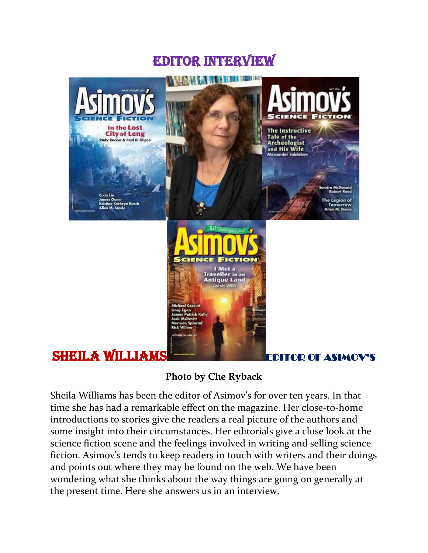## Editor interview



## **Photo by Che Ryback**

Sheila Williams has been the editor of Asimov's for over ten years. In that time she has had a remarkable effect on the magazine. Her close-to-home introductions to stories give the readers a real picture of the authors and some insight into their circumstances. Her editorials give a close look at the science fiction scene and the feelings involved in writing and selling science fiction. Asimov's tends to keep readers in touch with writers and their doings and points out where they may be found on the web. We have been wondering what she thinks about the way things are going on generally at the present time. Here she answers us in an interview.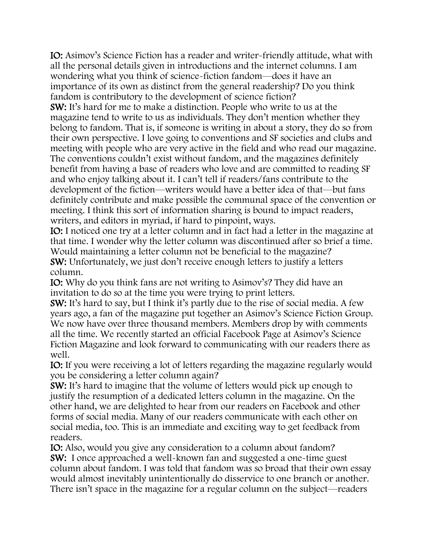IO: Asimov's Science Fiction has a reader and writer-friendly attitude, what with all the personal details given in introductions and the internet columns. I am wondering what you think of science-fiction fandom—does it have an importance of its own as distinct from the general readership? Do you think fandom is contributory to the development of science fiction?

SW: It's hard for me to make a distinction. People who write to us at the magazine tend to write to us as individuals. They don't mention whether they belong to fandom. That is, if someone is writing in about a story, they do so from their own perspective. I love going to conventions and SF societies and clubs and meeting with people who are very active in the field and who read our magazine. The conventions couldn't exist without fandom, and the magazines definitely benefit from having a base of readers who love and are committed to reading SF and who enjoy talking about it. I can't tell if readers/fans contribute to the development of the fiction—writers would have a better idea of that—but fans definitely contribute and make possible the communal space of the convention or meeting. I think this sort of information sharing is bound to impact readers, writers, and editors in myriad, if hard to pinpoint, ways.

IO: I noticed one try at a letter column and in fact had a letter in the magazine at that time. I wonder why the letter column was discontinued after so brief a time. Would maintaining a letter column not be beneficial to the magazine? SW: Unfortunately, we just don't receive enough letters to justify a letters column.

IO: Why do you think fans are not writing to Asimov's? They did have an invitation to do so at the time you were trying to print letters.

SW: It's hard to say, but I think it's partly due to the rise of social media. A few years ago, a fan of the magazine put together an Asimov's Science Fiction Group. We now have over three thousand members. Members drop by with comments all the time. We recently started an official Facebook Page at Asimov's Science Fiction Magazine and look forward to communicating with our readers there as well.

IO: If you were receiving a lot of letters regarding the magazine regularly would you be considering a letter column again?

SW: It's hard to imagine that the volume of letters would pick up enough to justify the resumption of a dedicated letters column in the magazine. On the other hand, we are delighted to hear from our readers on Facebook and other forms of social media. Many of our readers communicate with each other on social media, too. This is an immediate and exciting way to get feedback from readers.

IO: Also, would you give any consideration to a column about fandom? SW: I once approached a well-known fan and suggested a one-time guest column about fandom. I was told that fandom was so broad that their own essay would almost inevitably unintentionally do disservice to one branch or another. There isn't space in the magazine for a regular column on the subject—readers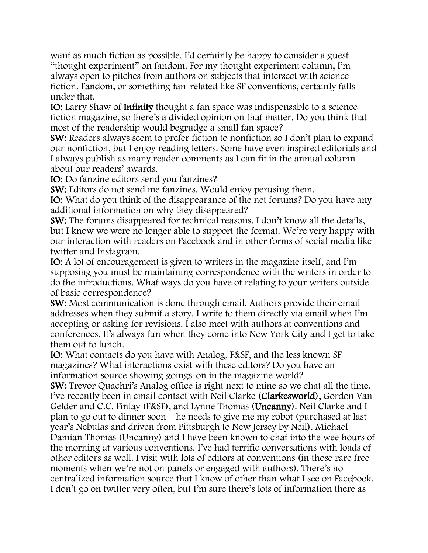want as much fiction as possible. I'd certainly be happy to consider a guest "thought experiment" on fandom. For my thought experiment column, I'm always open to pitches from authors on subjects that intersect with science fiction. Fandom, or something fan-related like SF conventions, certainly falls under that.

IO: Larry Shaw of Infinity thought a fan space was indispensable to a science fiction magazine, so there's a divided opinion on that matter. Do you think that most of the readership would begrudge a small fan space?

SW: Readers always seem to prefer fiction to nonfiction so I don't plan to expand our nonfiction, but I enjoy reading letters. Some have even inspired editorials and I always publish as many reader comments as I can fit in the annual column about our readers' awards.

IO: Do fanzine editors send you fanzines?

SW: Editors do not send me fanzines. Would enjoy perusing them.

IO: What do you think of the disappearance of the net forums? Do you have any additional information on why they disappeared?

SW: The forums disappeared for technical reasons. I don't know all the details, but I know we were no longer able to support the format. We're very happy with our interaction with readers on Facebook and in other forms of social media like twitter and Instagram.

IO: A lot of encouragement is given to writers in the magazine itself, and I'm supposing you must be maintaining correspondence with the writers in order to do the introductions. What ways do you have of relating to your writers outside of basic correspondence?

SW: Most communication is done through email. Authors provide their email addresses when they submit a story. I write to them directly via email when I'm accepting or asking for revisions. I also meet with authors at conventions and conferences. It's always fun when they come into New York City and I get to take them out to lunch.

IO: What contacts do you have with Analog, F&SF, and the less known SF magazines? What interactions exist with these editors? Do you have an information source showing goings-on in the magazine world?

SW: Trevor Quachri's Analog office is right next to mine so we chat all the time. I've recently been in email contact with Neil Clarke (Clarkesworld), Gordon Van Gelder and C.C. Finlay (F&SF), and Lynne Thomas (Uncanny). Neil Clarke and I plan to go out to dinner soon—he needs to give me my robot (purchased at last year's Nebulas and driven from Pittsburgh to New Jersey by Neil). Michael Damian Thomas (Uncanny) and I have been known to chat into the wee hours of the morning at various conventions. I've had terrific conversations with loads of other editors as well. I visit with lots of editors at conventions (in those rare free moments when we're not on panels or engaged with authors). There's no centralized information source that I know of other than what I see on Facebook. I don't go on twitter very often, but I'm sure there's lots of information there as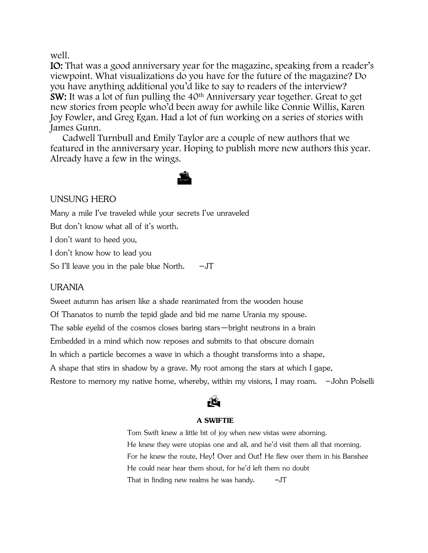#### well.

IO: That was a good anniversary year for the magazine, speaking from a reader's viewpoint. What visualizations do you have for the future of the magazine? Do you have anything additional you'd like to say to readers of the interview? SW: It was a lot of fun pulling the 40th Anniversary year together. Great to get new stories from people who'd been away for awhile like Connie Willis, Karen Joy Fowler, and Greg Egan. Had a lot of fun working on a series of stories with James Gunn.

 Cadwell Turnbull and Emily Taylor are a couple of new authors that we featured in the anniversary year. Hoping to publish more new authors this year. Already have a few in the wings.



#### UNSUNG HERO

Many a mile I've traveled while your secrets I've unraveled

But don't know what all of it's worth.

I don't want to heed you,

I don't know how to lead you

So I'll leave you in the pale blue North.  $-JT$ 

#### URANIA

Sweet autumn has arisen like a shade reanimated from the wooden house Of Thanatos to numb the tepid glade and bid me name Urania my spouse. The sable eyelid of the cosmos closes baring stars—bright neutrons in a brain Embedded in a mind which now reposes and submits to that obscure domain In which a particle becomes a wave in which a thought transforms into a shape, A shape that stirs in shadow by a grave. My root among the stars at which I gape, Restore to memory my native home, whereby, within my visions, I may roam. –John Polselli



#### **A SWIFTIE**

Tom Swift knew a little bit of joy when new vistas were aborning. He knew they were utopias one and all, and he'd visit them all that morning. For he knew the route, Hey! Over and Out! He flew over them in his Banshee He could near hear them shout, for he'd left them no doubt That in finding new realms he was handy.  $-JT$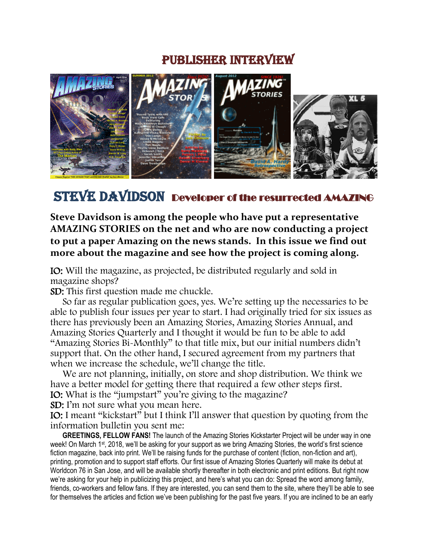## PUBLISHER interview



## STEVE DAVIDSON Developer of the resurrected AMAZING

**Steve Davidson is among the people who have put a representative AMAZING STORIES on the net and who are now conducting a project to put a paper Amazing on the news stands. In this issue we find out more about the magazine and see how the project is coming along.**

IO: Will the magazine, as projected, be distributed regularly and sold in magazine shops?

SD: This first question made me chuckle.

 So far as regular publication goes, yes. We're setting up the necessaries to be able to publish four issues per year to start. I had originally tried for six issues as there has previously been an Amazing Stories, Amazing Stories Annual, and Amazing Stories Quarterly and I thought it would be fun to be able to add "Amazing Stories Bi-Monthly" to that title mix, but our initial numbers didn't support that. On the other hand, I secured agreement from my partners that when we increase the schedule, we'll change the title.

 We are not planning, initially, on store and shop distribution. We think we have a better model for getting there that required a few other steps first. IO: What is the "jumpstart" you're giving to the magazine?

SD: I'm not sure what you mean here.

IO: I meant "kickstart" but I think I'll answer that question by quoting from the information bulletin you sent me:

 **GREETINGS, FELLOW FANS!** The launch of the Amazing Stories Kickstarter Project will be under way in one week! On March 1st, 2018, we'll be asking for your support as we bring Amazing Stories, the world's first science fiction magazine, back into print. We'll be raising funds for the purchase of content (fiction, non-fiction and art), printing, promotion and to support staff efforts. Our first issue of Amazing Stories Quarterly will make its debut at Worldcon 76 in San Jose, and will be available shortly thereafter in both electronic and print editions. But right now we're asking for your help in publicizing this project, and here's what you can do: Spread the word among family, friends, co-workers and fellow fans. If they are interested, you can send them to the site, where they'll be able to see for themselves the articles and fiction we've been publishing for the past five years. If you are inclined to be an early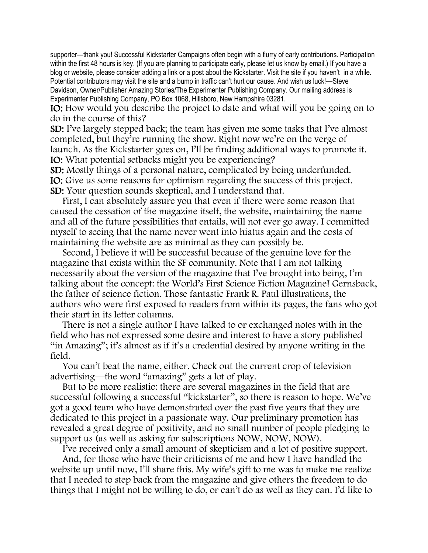supporter—thank you! Successful Kickstarter Campaigns often begin with a flurry of early contributions. Participation within the first 48 hours is key. (If you are planning to participate early, please let us know by email.) If you have a blog or website, please consider adding a link or a post about the Kickstarter. Visit the site if you haven't in a while. Potential contributors may visit the site and a bump in traffic can't hurt our cause. And wish us luck!—Steve Davidson, Owner/Publisher Amazing Stories/The Experimenter Publishing Company. Our mailing address is Experimenter Publishing Company, PO Box 1068, Hillsboro, New Hampshire 03281.

IO: How would you describe the project to date and what will you be going on to do in the course of this?

SD: I've largely stepped back; the team has given me some tasks that I've almost completed, but they're running the show. Right now we're on the verge of launch. As the Kickstarter goes on, I'll be finding additional ways to promote it. IO: What potential setbacks might you be experiencing?

SD: Mostly things of a personal nature, complicated by being underfunded. IO: Give us some reasons for optimism regarding the success of this project. SD: Your question sounds skeptical, and I understand that.

 First, I can absolutely assure you that even if there were some reason that caused the cessation of the magazine itself, the website, maintaining the name and all of the future possibilities that entails, will not ever go away. I committed myself to seeing that the name never went into hiatus again and the costs of maintaining the website are as minimal as they can possibly be.

 Second, I believe it will be successful because of the genuine love for the magazine that exists within the SF community. Note that I am not talking necessarily about the version of the magazine that I've brought into being, I'm talking about the concept: the World's First Science Fiction Magazine! Gernsback, the father of science fiction. Those fantastic Frank R. Paul illustrations, the authors who were first exposed to readers from within its pages, the fans who got their start in its letter columns.

 There is not a single author I have talked to or exchanged notes with in the field who has not expressed some desire and interest to have a story published "in Amazing"; it's almost as if it's a credential desired by anyone writing in the field.

 You can't beat the name, either. Check out the current crop of television advertising—the word "amazing" gets a lot of play.

 But to be more realistic: there are several magazines in the field that are successful following a successful "kickstarter", so there is reason to hope. We've got a good team who have demonstrated over the past five years that they are dedicated to this project in a passionate way. Our preliminary promotion has revealed a great degree of positivity, and no small number of people pledging to support us (as well as asking for subscriptions NOW, NOW, NOW).

I've received only a small amount of skepticism and a lot of positive support.

 And, for those who have their criticisms of me and how I have handled the website up until now, I'll share this. My wife's gift to me was to make me realize that I needed to step back from the magazine and give others the freedom to do things that I might not be willing to do, or can't do as well as they can. I'd like to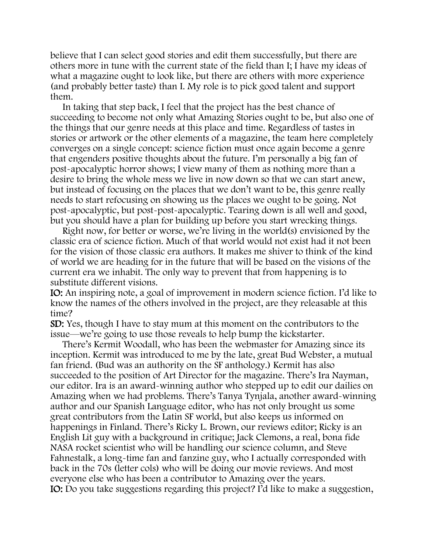believe that I can select good stories and edit them successfully, but there are others more in tune with the current state of the field than I; I have my ideas of what a magazine ought to look like, but there are others with more experience (and probably better taste) than I. My role is to pick good talent and support them.

 In taking that step back, I feel that the project has the best chance of succeeding to become not only what Amazing Stories ought to be, but also one of the things that our genre needs at this place and time. Regardless of tastes in stories or artwork or the other elements of a magazine, the team here completely converges on a single concept: science fiction must once again become a genre that engenders positive thoughts about the future. I'm personally a big fan of post-apocalyptic horror shows; I view many of them as nothing more than a desire to bring the whole mess we live in now down so that we can start anew, but instead of focusing on the places that we don't want to be, this genre really needs to start refocusing on showing us the places we ought to be going. Not post-apocalyptic, but post-post-apocalyptic. Tearing down is all well and good, but you should have a plan for building up before you start wrecking things.

 Right now, for better or worse, we're living in the world(s) envisioned by the classic era of science fiction. Much of that world would not exist had it not been for the vision of those classic era authors. It makes me shiver to think of the kind of world we are heading for in the future that will be based on the visions of the current era we inhabit. The only way to prevent that from happening is to substitute different visions.

IO: An inspiring note, a goal of improvement in modern science fiction. I'd like to know the names of the others involved in the project, are they releasable at this time?

SD: Yes, though I have to stay mum at this moment on the contributors to the issue—we're going to use those reveals to help bump the kickstarter.

 There's Kermit Woodall, who has been the webmaster for Amazing since its inception. Kermit was introduced to me by the late, great Bud Webster, a mutual fan friend. (Bud was an authority on the SF anthology.) Kermit has also succeeded to the position of Art Director for the magazine. There's Ira Nayman, our editor. Ira is an award-winning author who stepped up to edit our dailies on Amazing when we had problems. There's Tanya Tynjala, another award-winning author and our Spanish Language editor, who has not only brought us some great contributors from the Latin SF world, but also keeps us informed on happenings in Finland. There's Ricky L. Brown, our reviews editor; Ricky is an English Lit guy with a background in critique; Jack Clemons, a real, bona fide NASA rocket scientist who will be handling our science column, and Steve Fahnestalk, a long-time fan and fanzine guy, who I actually corresponded with back in the 70s (letter cols) who will be doing our movie reviews. And most everyone else who has been a contributor to Amazing over the years. IO: Do you take suggestions regarding this project? I'd like to make a suggestion,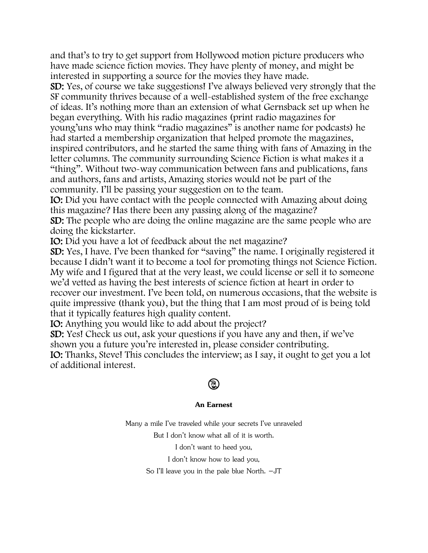and that's to try to get support from Hollywood motion picture producers who have made science fiction movies. They have plenty of money, and might be interested in supporting a source for the movies they have made.

SD: Yes, of course we take suggestions! I've always believed very strongly that the SF community thrives because of a well-established system of the free exchange of ideas. It's nothing more than an extension of what Gernsback set up when he began everything. With his radio magazines (print radio magazines for young'uns who may think "radio magazines" is another name for podcasts) he had started a membership organization that helped promote the magazines, inspired contributors, and he started the same thing with fans of Amazing in the letter columns. The community surrounding Science Fiction is what makes it a "thing". Without two-way communication between fans and publications, fans and authors, fans and artists, Amazing stories would not be part of the community. I'll be passing your suggestion on to the team.

IO: Did you have contact with the people connected with Amazing about doing this magazine? Has there been any passing along of the magazine? SD: The people who are doing the online magazine are the same people who are doing the kickstarter.

IO: Did you have a lot of feedback about the net magazine?

SD: Yes, I have. I've been thanked for "saving" the name. I originally registered it because I didn't want it to become a tool for promoting things not Science Fiction. My wife and I figured that at the very least, we could license or sell it to someone we'd vetted as having the best interests of science fiction at heart in order to recover our investment. I've been told, on numerous occasions, that the website is quite impressive (thank you), but the thing that I am most proud of is being told that it typically features high quality content.

IO: Anything you would like to add about the project?

SD: Yes! Check us out, ask your questions if you have any and then, if we've shown you a future you're interested in, please consider contributing.

IO: Thanks, Steve! This concludes the interview; as I say, it ought to get you a lot of additional interest.

 $\textcircled{\footnotesize{1}}$ 

#### **An Earnest**

Many a mile I've traveled while your secrets I've unraveled But I don't know what all of it is worth.

I don't want to heed you,

I don't know how to lead you,

So I'll leave you in the pale blue North. –JT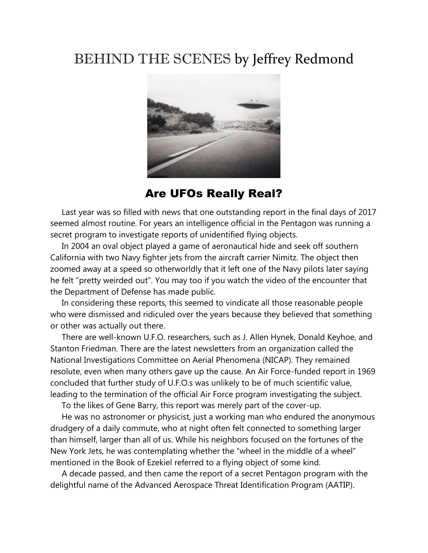## BEHIND THE SCENES by Jeffrey Redmond



## Are UFOs Really Real?

 Last year was so filled with news that one outstanding report in the final days of 2017 seemed almost routine. For years an intelligence official in the Pentagon was running a secret program to investigate reports of unidentified flying objects.

 In 2004 an oval object played a game of aeronautical hide and seek off southern California with two Navy fighter jets from the aircraft carrier Nimitz. The object then zoomed away at a speed so otherworldly that it left one of the Navy pilots later saying he felt "pretty weirded out". You may too if you watch the video of the encounter that the Department of Defense has made public.

 In considering these reports, this seemed to vindicate all those reasonable people who were dismissed and ridiculed over the years because they believed that something or other was actually out there.

 There are well-known U.F.O. researchers, such as J. Allen Hynek, Donald Keyhoe, and Stanton Friedman. There are the latest newsletters from an organization called the National Investigations Committee on Aerial Phenomena (NICAP). They remained resolute, even when many others gave up the cause. An Air Force-funded report in 1969 concluded that further study of U.F.O.s was unlikely to be of much scientific value, leading to the termination of the official Air Force program investigating the subject.

To the likes of Gene Barry, this report was merely part of the cover-up.

 He was no astronomer or physicist, just a working man who endured the anonymous drudgery of a daily commute, who at night often felt connected to something larger than himself, larger than all of us. While his neighbors focused on the fortunes of the New York Jets, he was contemplating whether the "wheel in the middle of a wheel" mentioned in the Book of Ezekiel referred to a flying object of some kind.

 A decade passed, and then came the report of a secret Pentagon program with the delightful name of the Advanced Aerospace Threat Identification Program (AATIP).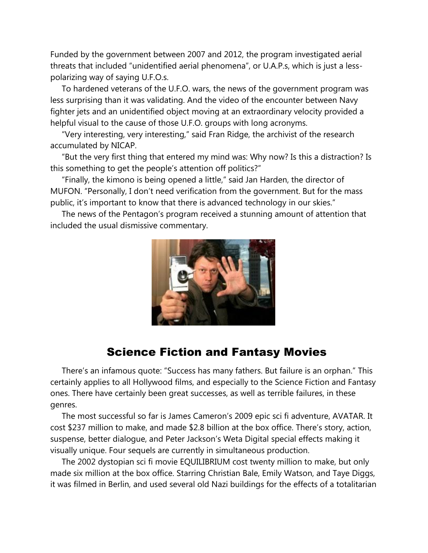Funded by the government between 2007 and 2012, the program investigated aerial threats that included "unidentified aerial phenomena", or U.A.P.s, which is just a lesspolarizing way of saying U.F.O.s.

 To hardened veterans of the U.F.O. wars, the news of the government program was less surprising than it was validating. And the video of the encounter between Navy fighter jets and an unidentified object moving at an extraordinary velocity provided a helpful visual to the cause of those U.F.O. groups with long acronyms.

 "Very interesting, very interesting," said Fran Ridge, the archivist of the research accumulated by NICAP.

 "But the very first thing that entered my mind was: Why now? Is this a distraction? Is this something to get the people's attention off politics?"

 "Finally, the kimono is being opened a little," said Jan Harden, the director of MUFON. "Personally, I don't need verification from the government. But for the mass public, it's important to know that there is advanced technology in our skies."

 The news of the Pentagon's program received a stunning amount of attention that included the usual dismissive commentary.



## Science Fiction and Fantasy Movies

 There's an infamous quote: "Success has many fathers. But failure is an orphan." This certainly applies to all Hollywood films, and especially to the Science Fiction and Fantasy ones. There have certainly been great successes, as well as terrible failures, in these genres.

 The most successful so far is James Cameron's 2009 epic sci fi adventure, AVATAR. It cost \$237 million to make, and made \$2.8 billion at the box office. There's story, action, suspense, better dialogue, and Peter Jackson's Weta Digital special effects making it visually unique. Four sequels are currently in simultaneous production.

 The 2002 dystopian sci fi movie EQUILIBRIUM cost twenty million to make, but only made six million at the box office. Starring Christian Bale, Emily Watson, and Taye Diggs, it was filmed in Berlin, and used several old Nazi buildings for the effects of a totalitarian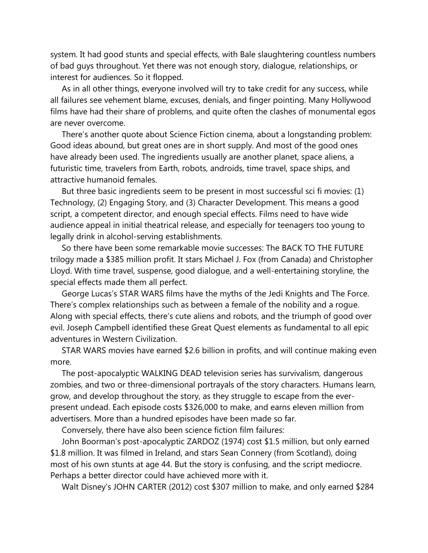system. It had good stunts and special effects, with Bale slaughtering countless numbers of bad guys throughout. Yet there was not enough story, dialogue, relationships, or interest for audiences. So it flopped.

 As in all other things, everyone involved will try to take credit for any success, while all failures see vehement blame, excuses, denials, and finger pointing. Many Hollywood films have had their share of problems, and quite often the clashes of monumental egos are never overcome.

 There's another quote about Science Fiction cinema, about a longstanding problem: Good ideas abound, but great ones are in short supply. And most of the good ones have already been used. The ingredients usually are another planet, space aliens, a futuristic time, travelers from Earth, robots, androids, time travel, space ships, and attractive humanoid females.

 But three basic ingredients seem to be present in most successful sci fi movies: (1) Technology, (2) Engaging Story, and (3) Character Development. This means a good script, a competent director, and enough special effects. Films need to have wide audience appeal in initial theatrical release, and especially for teenagers too young to legally drink in alcohol-serving establishments.

 So there have been some remarkable movie successes: The BACK TO THE FUTURE trilogy made a \$385 million profit. It stars Michael J. Fox (from Canada) and Christopher Lloyd. With time travel, suspense, good dialogue, and a well-entertaining storyline, the special effects made them all perfect.

 George Lucas's STAR WARS films have the myths of the Jedi Knights and The Force. There's complex relationships such as between a female of the nobility and a rogue. Along with special effects, there's cute aliens and robots, and the triumph of good over evil. Joseph Campbell identified these Great Quest elements as fundamental to all epic adventures in Western Civilization.

 STAR WARS movies have earned \$2.6 billion in profits, and will continue making even more.

 The post-apocalyptic WALKING DEAD television series has survivalism, dangerous zombies, and two or three-dimensional portrayals of the story characters. Humans learn, grow, and develop throughout the story, as they struggle to escape from the everpresent undead. Each episode costs \$326,000 to make, and earns eleven million from advertisers. More than a hundred episodes have been made so far.

Conversely, there have also been science fiction film failures:

 John Boorman's post-apocalyptic ZARDOZ (1974) cost \$1.5 million, but only earned \$1.8 million. It was filmed in Ireland, and stars Sean Connery (from Scotland), doing most of his own stunts at age 44. But the story is confusing, and the script mediocre. Perhaps a better director could have achieved more with it.

Walt Disney's JOHN CARTER (2012) cost \$307 million to make, and only earned \$284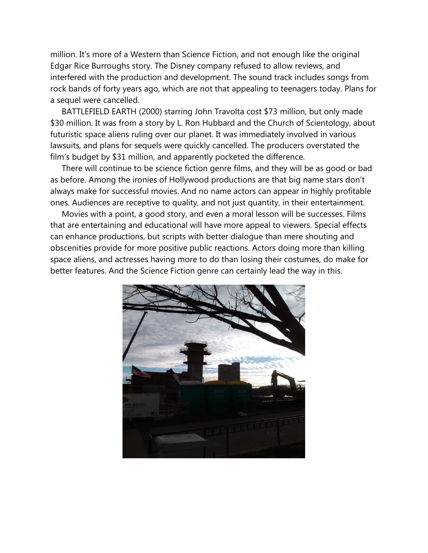million. It's more of a Western than Science Fiction, and not enough like the original Edgar Rice Burroughs story. The Disney company refused to allow reviews, and interfered with the production and development. The sound track includes songs from rock bands of forty years ago, which are not that appealing to teenagers today. Plans for a sequel were cancelled.

 BATTLEFIELD EARTH (2000) starring John Travolta cost \$73 million, but only made \$30 million. It was from a story by L. Ron Hubbard and the Church of Scientology, about futuristic space aliens ruling over our planet. It was immediately involved in various lawsuits, and plans for sequels were quickly cancelled. The producers overstated the film's budget by \$31 million, and apparently pocketed the difference.

 There will continue to be science fiction genre films, and they will be as good or bad as before. Among the ironies of Hollywood productions are that big name stars don't always make for successful movies. And no name actors can appear in highly profitable ones. Audiences are receptive to quality, and not just quantity, in their entertainment.

 Movies with a point, a good story, and even a moral lesson will be successes. Films that are entertaining and educational will have more appeal to viewers. Special effects can enhance productions, but scripts with better dialogue than mere shouting and obscenities provide for more positive public reactions. Actors doing more than killing space aliens, and actresses having more to do than losing their costumes, do make for better features. And the Science Fiction genre can certainly lead the way in this.

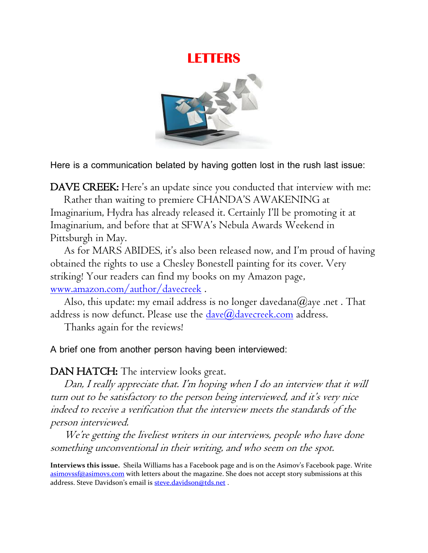## **LETTERS**



Here is a communication belated by having gotten lost in the rush last issue:

DAVE CREEK: Here's an update since you conducted that interview with me:

 Rather than waiting to premiere CHANDA'S AWAKENING at Imaginarium, Hydra has already released it. Certainly I'll be promoting it at Imaginarium, and before that at SFWA's Nebula Awards Weekend in Pittsburgh in May.

 As for MARS ABIDES, it's also been released now, and I'm proud of having obtained the rights to use a Chesley Bonestell painting for its cover. Very striking! Your readers can find my books on my Amazon page, [www.amazon.com/author/davecreek](http://www.amazon.com/author/davecreek) .

Also, this update: my email address is no longer davedana $(\hat{a})$ aye .net. That address is now defunct. Please use the  $dave(\omega)$ davecreek.com address.

Thanks again for the reviews!

A brief one from another person having been interviewed:

## DAN HATCH: The interview looks great.

 Dan, I really appreciate that. I'm hoping when I do an interview that it will turn out to be satisfactory to the person being interviewed, and it's very nice indeed to receive a verification that the interview meets the standards of the person interviewed.

We're getting the liveliest writers in our interviews, people who have done something unconventional in their writing, and who seem on the spot.

**Interviews this issue.** Sheila Williams has a Facebook page and is on the Asimov's Facebook page. Write [asimovssf@asimovs.com](mailto:asimovssf@asimovs.com) with letters about the magazine. She does not accept story submissions at this address. Steve Davidson's email is [steve.davidson@tds.net](mailto:steve.davidson@tds.net).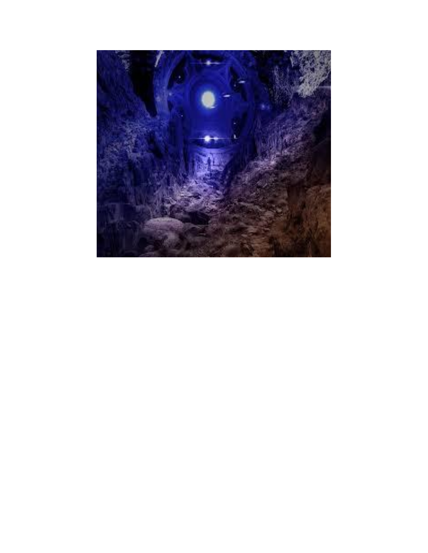